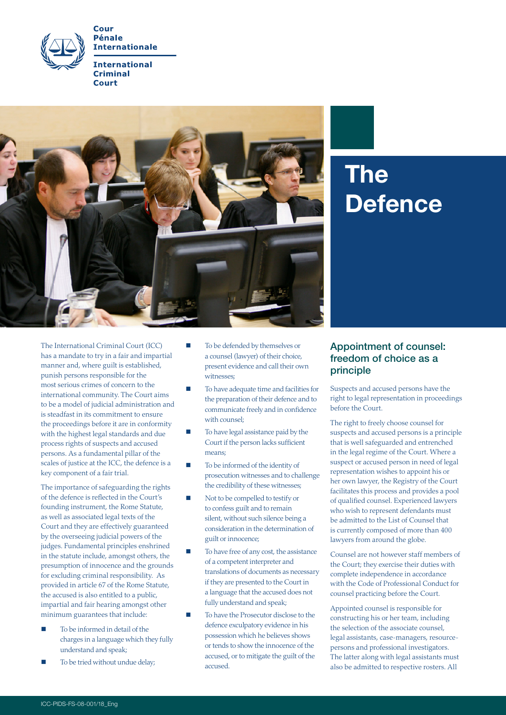



# The **Defence**

The International Criminal Court (ICC) has a mandate to try in a fair and impartial manner and, where guilt is established, punish persons responsible for the most serious crimes of concern to the international community. The Court aims to be a model of judicial administration and is steadfast in its commitment to ensure the proceedings before it are in conformity with the highest legal standards and due process rights of suspects and accused persons. As a fundamental pillar of the scales of justice at the ICC, the defence is a key component of a fair trial.

The importance of safeguarding the rights of the defence is reflected in the Court's founding instrument, the Rome Statute, as well as associated legal texts of the Court and they are effectively guaranteed by the overseeing judicial powers of the judges. Fundamental principles enshrined in the statute include, amongst others, the presumption of innocence and the grounds for excluding criminal responsibility. As provided in article 67 of the Rome Statute, the accused is also entitled to a public, impartial and fair hearing amongst other minimum guarantees that include:

- To be informed in detail of the charges in a language which they fully understand and speak;
- To be tried without undue delay;
- To be defended by themselves or a counsel (lawyer) of their choice, present evidence and call their own witnesses;
- To have adequate time and facilities for the preparation of their defence and to communicate freely and in confidence with counsel;
- To have legal assistance paid by the Court if the person lacks sufficient means;
- To be informed of the identity of prosecution witnesses and to challenge the credibility of these witnesses;
- Not to be compelled to testify or to confess guilt and to remain silent, without such silence being a consideration in the determination of guilt or innocence;
- To have free of any cost, the assistance of a competent interpreter and translations of documents as necessary if they are presented to the Court in a language that the accused does not fully understand and speak;
- To have the Prosecutor disclose to the defence exculpatory evidence in his possession which he believes shows or tends to show the innocence of the accused, or to mitigate the guilt of the accused.

## Appointment of counsel: freedom of choice as a principle

Suspects and accused persons have the right to legal representation in proceedings before the Court.

The right to freely choose counsel for suspects and accused persons is a principle that is well safeguarded and entrenched in the legal regime of the Court. Where a suspect or accused person in need of legal representation wishes to appoint his or her own lawyer, the Registry of the Court facilitates this process and provides a pool of qualified counsel. Experienced lawyers who wish to represent defendants must be admitted to the List of Counsel that is currently composed of more than 400 lawyers from around the globe.

Counsel are not however staff members of the Court; they exercise their duties with complete independence in accordance with the Code of Professional Conduct for counsel practicing before the Court.

Appointed counsel is responsible for constructing his or her team, including the selection of the associate counsel, legal assistants, case-managers, resourcepersons and professional investigators. The latter along with legal assistants must also be admitted to respective rosters. All